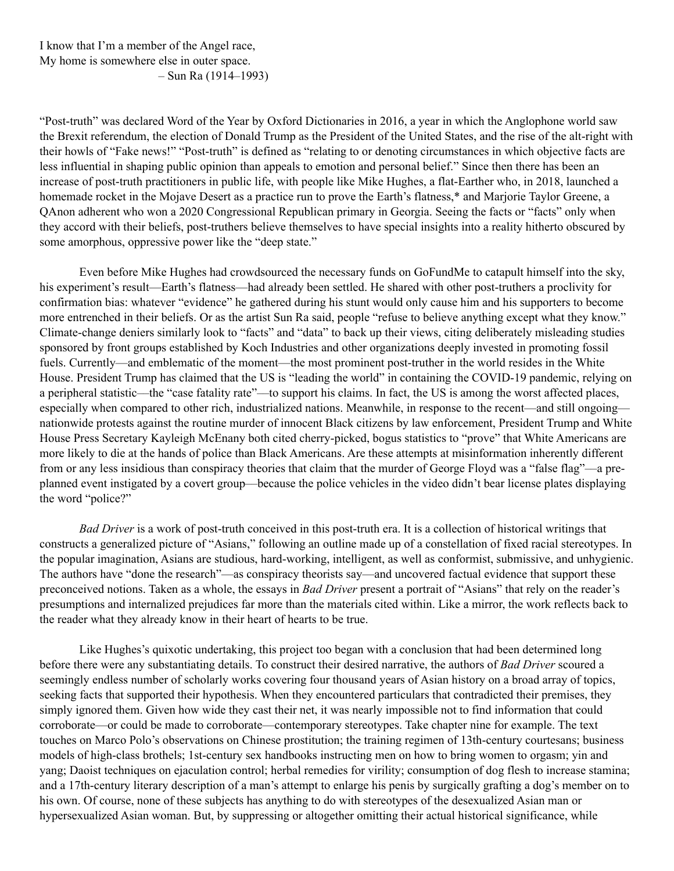I know that I'm a member of the Angel race, My home is somewhere else in outer space. – Sun Ra (1914–1993)

"Post-truth" was declared Word of the Year by Oxford Dictionaries in 2016, a year in which the Anglophone world saw the Brexit referendum, the election of Donald Trump as the President of the United States, and the rise of the alt-right with their howls of "Fake news!" "Post-truth" is defined as "relating to or denoting circumstances in which objective facts are less influential in shaping public opinion than appeals to emotion and personal belief." Since then there has been an increase of post-truth practitioners in public life, with people like Mike Hughes, a flat-Earther who, in 2018, launched a homemade rocket in the Mojave Desert as a practice run to prove the Earth's flatness,\* and Marjorie Taylor Greene, a QAnon adherent who won a 2020 Congressional Republican primary in Georgia. Seeing the facts or "facts" only when they accord with their beliefs, post-truthers believe themselves to have special insights into a reality hitherto obscured by some amorphous, oppressive power like the "deep state."

Even before Mike Hughes had crowdsourced the necessary funds on GoFundMe to catapult himself into the sky, his experiment's result—Earth's flatness—had already been settled. He shared with other post-truthers a proclivity for confirmation bias: whatever "evidence" he gathered during his stunt would only cause him and his supporters to become more entrenched in their beliefs. Or as the artist Sun Ra said, people "refuse to believe anything except what they know." Climate-change deniers similarly look to "facts" and "data" to back up their views, citing deliberately misleading studies sponsored by front groups established by Koch Industries and other organizations deeply invested in promoting fossil fuels. Currently—and emblematic of the moment—the most prominent post-truther in the world resides in the White House. President Trump has claimed that the US is "leading the world" in containing the COVID-19 pandemic, relying on a peripheral statistic––the "case fatality rate"––to support his claims. In fact, the US is among the worst affected places, especially when compared to other rich, industrialized nations. Meanwhile, in response to the recent—and still ongoing nationwide protests against the routine murder of innocent Black citizens by law enforcement, President Trump and White House Press Secretary Kayleigh McEnany both cited cherry-picked, bogus statistics to "prove" that White Americans are more likely to die at the hands of police than Black Americans. Are these attempts at misinformation inherently different from or any less insidious than conspiracy theories that claim that the murder of George Floyd was a "false flag"––a preplanned event instigated by a covert group––because the police vehicles in the video didn't bear license plates displaying the word "police?"

*Bad Driver* is a work of post-truth conceived in this post-truth era. It is a collection of historical writings that constructs a generalized picture of "Asians," following an outline made up of a constellation of fixed racial stereotypes. In the popular imagination, Asians are studious, hard-working, intelligent, as well as conformist, submissive, and unhygienic. The authors have "done the research"—as conspiracy theorists say—and uncovered factual evidence that support these preconceived notions. Taken as a whole, the essays in *Bad Driver* present a portrait of "Asians" that rely on the reader's presumptions and internalized prejudices far more than the materials cited within. Like a mirror, the work reflects back to the reader what they already know in their heart of hearts to be true.

Like Hughes's quixotic undertaking, this project too began with a conclusion that had been determined long before there were any substantiating details. To construct their desired narrative, the authors of *Bad Driver* scoured a seemingly endless number of scholarly works covering four thousand years of Asian history on a broad array of topics, seeking facts that supported their hypothesis. When they encountered particulars that contradicted their premises, they simply ignored them. Given how wide they cast their net, it was nearly impossible not to find information that could corroborate—or could be made to corroborate—contemporary stereotypes. Take chapter nine for example. The text touches on Marco Polo's observations on Chinese prostitution; the training regimen of 13th-century courtesans; business models of high-class brothels; 1st-century sex handbooks instructing men on how to bring women to orgasm; yin and yang; Daoist techniques on ejaculation control; herbal remedies for virility; consumption of dog flesh to increase stamina; and a 17th-century literary description of a man's attempt to enlarge his penis by surgically grafting a dog's member on to his own. Of course, none of these subjects has anything to do with stereotypes of the desexualized Asian man or hypersexualized Asian woman. But, by suppressing or altogether omitting their actual historical significance, while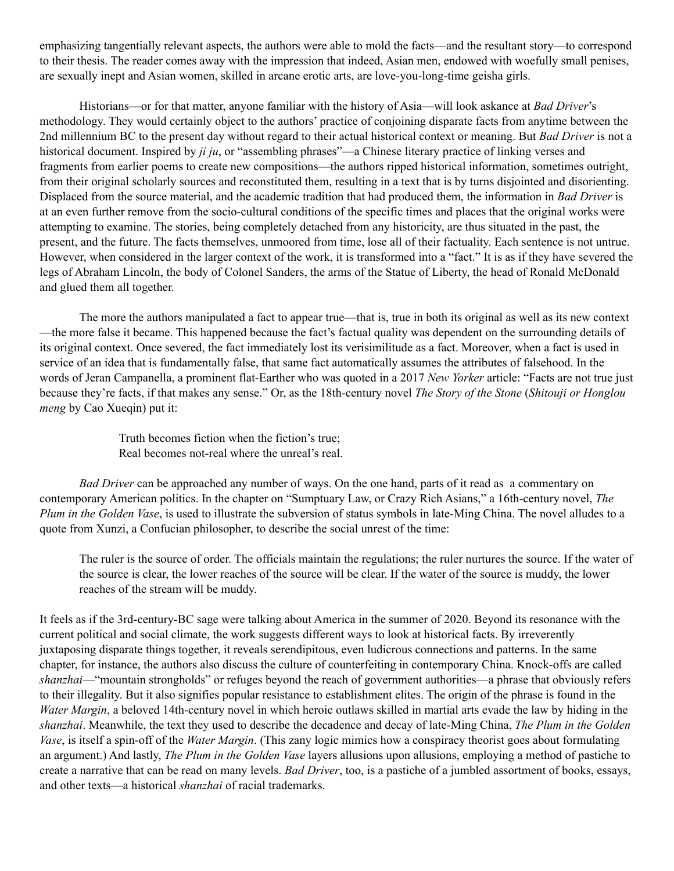emphasizing tangentially relevant aspects, the authors were able to mold the facts—and the resultant story—to correspond to their thesis. The reader comes away with the impression that indeed, Asian men, endowed with woefully small penises, are sexually inept and Asian women, skilled in arcane erotic arts, are love-you-long-time geisha girls.

Historians—or for that matter, anyone familiar with the history of Asia—will look askance at *Bad Driver*'s methodology. They would certainly object to the authors' practice of conjoining disparate facts from anytime between the 2nd millennium BC to the present day without regard to their actual historical context or meaning. But *Bad Driver* is not a historical document. Inspired by *ji ju*, or "assembling phrases"—a Chinese literary practice of linking verses and fragments from earlier poems to create new compositions—the authors ripped historical information, sometimes outright, from their original scholarly sources and reconstituted them, resulting in a text that is by turns disjointed and disorienting. Displaced from the source material, and the academic tradition that had produced them, the information in *Bad Driver* is at an even further remove from the socio-cultural conditions of the specific times and places that the original works were attempting to examine. The stories, being completely detached from any historicity, are thus situated in the past, the present, and the future. The facts themselves, unmoored from time, lose all of their factuality. Each sentence is not untrue. However, when considered in the larger context of the work, it is transformed into a "fact." It is as if they have severed the legs of Abraham Lincoln, the body of Colonel Sanders, the arms of the Statue of Liberty, the head of Ronald McDonald and glued them all together.

The more the authors manipulated a fact to appear true—that is, true in both its original as well as its new context —the more false it became. This happened because the fact's factual quality was dependent on the surrounding details of its original context. Once severed, the fact immediately lost its verisimilitude as a fact. Moreover, when a fact is used in service of an idea that is fundamentally false, that same fact automatically assumes the attributes of falsehood. In the words of Jeran Campanella, a prominent flat-Earther who was quoted in a 2017 *New Yorker* article: "Facts are not true just because they're facts, if that makes any sense." Or, as the 18th-century novel *The Story of the Stone* (*Shitouji or Honglou meng* by Cao Xueqin) put it:

> Truth becomes fiction when the fiction's true; Real becomes not-real where the unreal's real.

*Bad Driver* can be approached any number of ways. On the one hand, parts of it read as a commentary on contemporary American politics. In the chapter on "Sumptuary Law, or Crazy Rich Asians," a 16th-century novel, *The Plum in the Golden Vase*, is used to illustrate the subversion of status symbols in late-Ming China. The novel alludes to a quote from Xunzi, a Confucian philosopher, to describe the social unrest of the time:

The ruler is the source of order. The officials maintain the regulations; the ruler nurtures the source. If the water of the source is clear, the lower reaches of the source will be clear. If the water of the source is muddy, the lower reaches of the stream will be muddy.

It feels as if the 3rd-century-BC sage were talking about America in the summer of 2020. Beyond its resonance with the current political and social climate, the work suggests different ways to look at historical facts. By irreverently juxtaposing disparate things together, it reveals serendipitous, even ludicrous connections and patterns. In the same chapter, for instance, the authors also discuss the culture of counterfeiting in contemporary China. Knock-offs are called *shanzhai*—"mountain strongholds" or refuges beyond the reach of government authorities—a phrase that obviously refers to their illegality. But it also signifies popular resistance to establishment elites. The origin of the phrase is found in the *Water Margin*, a beloved 14th-century novel in which heroic outlaws skilled in martial arts evade the law by hiding in the *shanzhai*. Meanwhile, the text they used to describe the decadence and decay of late-Ming China, *The Plum in the Golden Vase*, is itself a spin-off of the *Water Margin*. (This zany logic mimics how a conspiracy theorist goes about formulating an argument.) And lastly, *The Plum in the Golden Vase* layers allusions upon allusions, employing a method of pastiche to create a narrative that can be read on many levels. *Bad Driver*, too, is a pastiche of a jumbled assortment of books, essays, and other texts—a historical *shanzhai* of racial trademarks.